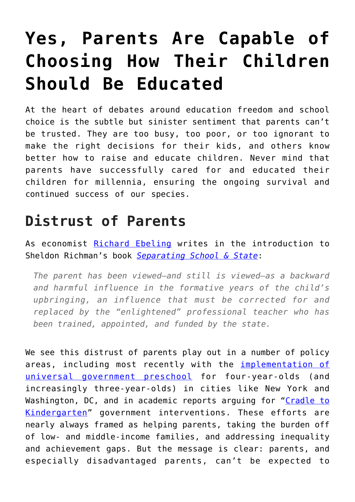## **[Yes, Parents Are Capable of](https://intellectualtakeout.org/2019/07/yes-parents-are-capable-of-choosing-how-their-children-should-be-educated/) [Choosing How Their Children](https://intellectualtakeout.org/2019/07/yes-parents-are-capable-of-choosing-how-their-children-should-be-educated/) [Should Be Educated](https://intellectualtakeout.org/2019/07/yes-parents-are-capable-of-choosing-how-their-children-should-be-educated/)**

At the heart of debates around education freedom and school choice is the subtle but sinister sentiment that parents can't be trusted. They are too busy, too poor, or too ignorant to make the right decisions for their kids, and others know better how to raise and educate children. Never mind that parents have successfully cared for and educated their children for millennia, ensuring the ongoing survival and continued success of our species.

## **Distrust of Parents**

As economist [Richard Ebeling](https://fee.org/people/richard-m-ebeling/) writes in the introduction to Sheldon Richman's book *[Separating School & State](http://www.amazon.com/Separating-School-State-Liberate-Americas/dp/0964044722)*:

*The parent has been viewed—and still is viewed—as a backward and harmful influence in the formative years of the child's upbringing, an influence that must be corrected for and replaced by the "enlightened" professional teacher who has been trained, appointed, and funded by the state.*

We see this distrust of parents play out in a number of policy areas, including most recently with the *[implementation of](https://www.newamerica.org/education-policy/edcentral/pre-k-american-cities/)* [universal government preschool](https://www.newamerica.org/education-policy/edcentral/pre-k-american-cities/) for four-year-olds (and increasingly three-year-olds) in cities like New York and Washington, DC, and in academic reports arguing for "[Cradle to](https://www.russellsage.org/publications/cradle-kindergarten) [Kindergarten"](https://www.russellsage.org/publications/cradle-kindergarten) government interventions. These efforts are nearly always framed as helping parents, taking the burden off of low- and middle-income families, and addressing inequality and achievement gaps. But the message is clear: parents, and especially disadvantaged parents, can't be expected to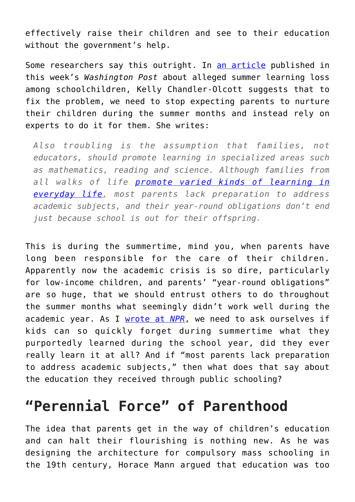effectively raise their children and see to their education without the government's help.

Some researchers say this outright. In [an article](https://www.washingtonpost.com/education/2019/07/16/summer-learning-loss-is-long-standing-belief-education-is-it-real/?utm_term=.28d81c2c9e85) published in this week's *Washington Post* about alleged summer learning loss among schoolchildren, Kelly Chandler-Olcott suggests that to fix the problem, we need to stop expecting parents to nurture their children during the summer months and instead rely on experts to do it for them. She writes:

*Also troubling is the assumption that families, not educators, should promote learning in specialized areas such as mathematics, reading and science. Although families from all walks of life [promote varied kinds of learning in](https://www.jstor.org/stable/1476399?seq=1#page_scan_tab_contents) [everyday life](https://www.jstor.org/stable/1476399?seq=1#page_scan_tab_contents), most parents lack preparation to address academic subjects, and their year-round obligations don't end just because school is out for their offspring.*

This is during the summertime, mind you, when parents have long been responsible for the care of their children. Apparently now the academic crisis is so dire, particularly for low-income children, and parents' "year-round obligations" are so huge, that we should entrust others to do throughout the summer months what seemingly didn't work well during the academic year. As I [wrote at](https://www.wbur.org/cognoscenti/2017/06/28/rethinking-education-unschooling-kerry-mcdonald) *[NPR](https://www.wbur.org/cognoscenti/2017/06/28/rethinking-education-unschooling-kerry-mcdonald)*, we need to ask ourselves if kids can so quickly forget during summertime what they purportedly learned during the school year, did they ever really learn it at all? And if "most parents lack preparation to address academic subjects," then what does that say about the education they received through public schooling?

## **"Perennial Force" of Parenthood**

The idea that parents get in the way of children's education and can halt their flourishing is nothing new. As he was designing the architecture for compulsory mass schooling in the 19th century, Horace Mann argued that education was too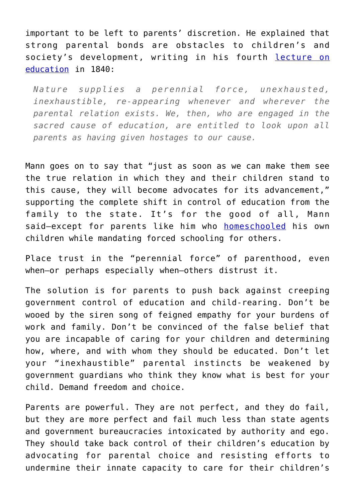important to be left to parents' discretion. He explained that strong parental bonds are obstacles to children's and society's development, writing in his fourth [lecture on](https://archive.org/details/lecturesannualre01manniala/page/210) [education](https://archive.org/details/lecturesannualre01manniala/page/210) in 1840:

*Nature supplies a perennial force, unexhausted, inexhaustible, re-appearing whenever and wherever the parental relation exists. We, then, who are engaged in the sacred cause of education, are entitled to look upon all parents as having given hostages to our cause.*

Mann goes on to say that "just as soon as we can make them see the true relation in which they and their children stand to this cause, they will become advocates for its advancement," supporting the complete shift in control of education from the family to the state. It's for the good of all, Mann said—except for parents like him who [homeschooled](https://fee.org/articles/the-devastating-rise-of-mass-schooling/) his own children while mandating forced schooling for others.

Place trust in the "perennial force" of parenthood, even when—or perhaps especially when—others distrust it.

The solution is for parents to push back against creeping government control of education and child-rearing. Don't be wooed by the siren song of feigned empathy for your burdens of work and family. Don't be convinced of the false belief that you are incapable of caring for your children and determining how, where, and with whom they should be educated. Don't let your "inexhaustible" parental instincts be weakened by government guardians who think they know what is best for your child. Demand freedom and choice.

Parents are powerful. They are not perfect, and they do fail, but they are more perfect and fail much less than state agents and government bureaucracies intoxicated by authority and ego. They should take back control of their children's education by advocating for parental choice and resisting efforts to undermine their innate capacity to care for their children's